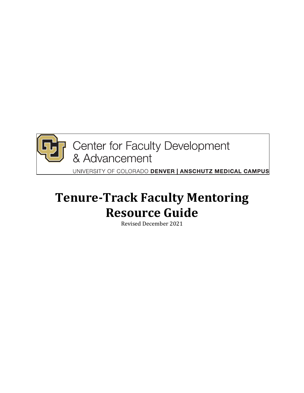

**P** Center for Faculty Development & Advancement

UNIVERSITY OF COLORADO DENVER | ANSCHUTZ MEDICAL CAMPUS

# **Tenure-Track Faculty Mentoring Resource Guide**

Revised December 2021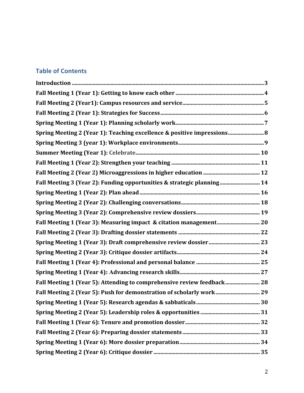# **Table of Contents**

| Spring Meeting 2 (Year 1): Teaching excellence & positive impressions 8 |  |
|-------------------------------------------------------------------------|--|
|                                                                         |  |
|                                                                         |  |
|                                                                         |  |
|                                                                         |  |
| Fall Meeting 3 (Year 2): Funding opportunities & strategic planning 14  |  |
|                                                                         |  |
|                                                                         |  |
|                                                                         |  |
| Fall Meeting 1 (Year 3): Measuring impact & citation management 20      |  |
|                                                                         |  |
|                                                                         |  |
|                                                                         |  |
|                                                                         |  |
|                                                                         |  |
| Fall Meeting 1 (Year 5): Attending to comprehensive review feedback 28  |  |
| Fall Meeting 2 (Year 5): Push for demonstration of scholarly work 29    |  |
|                                                                         |  |
|                                                                         |  |
|                                                                         |  |
|                                                                         |  |
|                                                                         |  |
|                                                                         |  |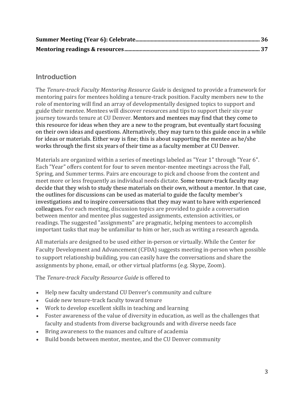# **Introduction**

The Tenure-track Faculty Mentoring Resource Guide is designed to provide a framework for mentoring pairs for mentees holding a tenure-track position. Faculty members new to the role of mentoring will find an array of developmentally designed topics to support and guide their mentee. Mentees will discover resources and tips to support their six-year journey towards tenure at CU Denver. Mentors and mentees may find that they come to this resource for ideas when they are a new to the program, but eventually start focusing on their own ideas and questions. Alternatively, they may turn to this guide once in a while for ideas or materials. Either way is fine; this is about supporting the mentee as he/she works through the first six years of their time as a faculty member at CU Denver.

Materials are organized within a series of meetings labeled as "Year 1" through "Year 6". Each "Year" offers content for four to seven mentor-mentee meetings across the Fall, Spring, and Summer terms. Pairs are encourage to pick and choose from the content and meet more or less frequently as individual needs dictate. Some tenure-track faculty may decide that they wish to study these materials on their own, without a mentor. In that case, the outlines for discussions can be used as material to guide the faculty member's investigations and to inspire conversations that they may want to have with experienced colleagues. For each meeting, discussion topics are provided to guide a conversation between mentor and mentee plus suggested assignments, extension activities, or readings. The suggested "assignments" are pragmatic, helping mentees to accomplish important tasks that may be unfamiliar to him or her, such as writing a research agenda.

All materials are designed to be used either in-person or virtually. While the Center for Faculty Development and Advancement (CFDA) suggests meeting in-person when possible to support relationship building, you can easily have the conversations and share the assignments by phone, email, or other virtual platforms (e.g. Skype, Zoom).

#### The *Tenure-track Faculty Resource Guide* is offered to

- Help new faculty understand CU Denver's community and culture
- Guide new tenure-track faculty toward tenure
- Work to develop excellent skills in teaching and learning
- Foster awareness of the value of diversity in education, as well as the challenges that faculty and students from diverse backgrounds and with diverse needs face
- Bring awareness to the nuances and culture of academia
- Build bonds between mentor, mentee, and the CU Denver community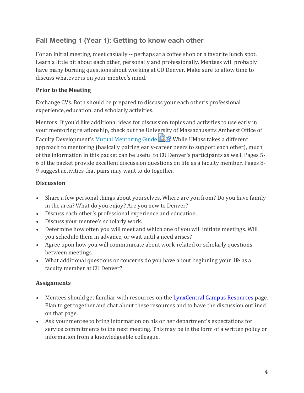# **Fall Meeting 1 (Year 1): Getting to know each other**

For an initial meeting, meet casually -- perhaps at a coffee shop or a favorite lunch spot. Learn a little bit about each other, personally and professionally. Mentees will probably have many burning questions about working at CU Denver. Make sure to allow time to discuss whatever is on your mentee's mind.

### **Prior to the Meeting**

Exchange CVs. Both should be prepared to discuss your each other's professional experience, education, and scholarly activities.

Mentors: If you'd like additional ideas for discussion topics and activities to use early in your mentoring relationship, check out the University of Massachusetts Amherst Office of Faculty Development's Mutual Mentoring Guide  $\Box$  While UMass takes a different approach to mentoring (basically pairing early-career peers to support each other), much of the information in this packet can be useful to CU Denver's participants as well. Pages 5-6 of the packet provide excellent discussion questions on life as a faculty member. Pages 8-9 suggest activities that pairs may want to do together.

### **Discussion**

- Share a few personal things about yourselves. Where are you from? Do you have family in the area? What do you enjoy? Are you new to Denver?
- Discuss each other's professional experience and education.
- Discuss your mentee's scholarly work.
- Determine how often you will meet and which one of you will initiate meetings. Will you schedule them in advance, or wait until a need arises?
- Agree upon how you will communicate about work-related or scholarly questions between meetings.
- What additional questions or concerns do you have about beginning your life as a faculty member at CU Denver?

- Mentees should get familiar with resources on the LynxCentral Campus Resources page. Plan to get together and chat about these resources and to have the discussion outlined on that page.
- Ask your mentee to bring information on his or her department's expectations for service commitments to the next meeting. This may be in the form of a written policy or information from a knowledgeable colleague.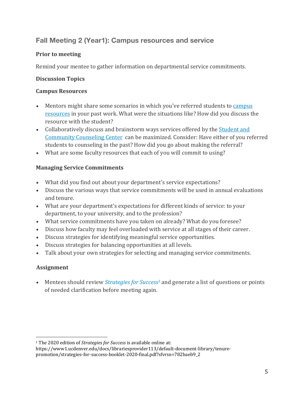# **Fall Meeting 2 (Year1): Campus resources and service**

### **Prior to meeting**

Remind your mentee to gather information on departmental service commitments.

### **Discussion Topics**

#### **Campus Resources**

- Mentors might share some scenarios in which you've referred students to campus resources in your past work. What were the situations like? How did you discuss the resource with the student?
- Collaboratively discuss and brainstorm ways services offered by the Student and Community Counseling Center can be maximized. Consider: Have either of you referred students to counseling in the past? How did you go about making the referral?
- What are some faculty resources that each of you will commit to using?

### **Managing Service Commitments**

- What did you find out about your department's service expectations?
- Discuss the various ways that service commitments will be used in annual evaluations and tenure.
- What are your department's expectations for different kinds of service: to your department, to your university, and to the profession?
- What service commitments have you taken on already? What do you foresee?
- Discuss how faculty may feel overloaded with service at all stages of their career.
- Discuss strategies for identifying meaningful service opportunities.
- Discuss strategies for balancing opportunities at all levels.
- Talk about your own strategies for selecting and managing service commitments.

# **Assignment**

• Mentees should review *Strategies for Success<sup>1</sup>* and generate a list of questions or points of needed clarification before meeting again.

<sup>&</sup>lt;sup>1</sup> The 2020 edition of *Strategies for Success* is available online at:

https://www1.ucdenver.edu/docs/librariesprovider113/default-document-library/tenurepromotion/strategies-for-success-booklet-2020-final.pdf?sfvrsn=782baeb9\_2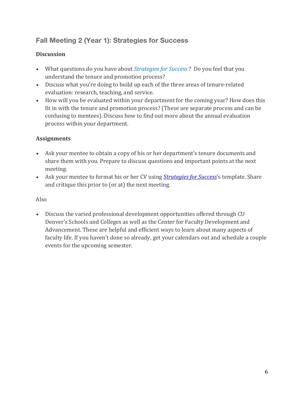# **Fall Meeting 2 (Year 1): Strategies for Success**

# **Discussion**

- What questions do you have about *Strategies for Success* ? Do you feel that you understand the tenure and promotion process?
- Discuss what you're doing to build up each of the three areas of tenure-related evaluation: research, teaching, and service.
- How will you be evaluated within your department for the coming year? How does this fit in with the tenure and promotion process? (These are separate process and can be confusing to mentees). Discuss how to find out more about the annual evaluation process within your department.

# **Assignments**

- Ask your mentee to obtain a copy of his or her department's tenure documents and share them with you. Prepare to discuss questions and important points at the next meeting.
- Ask your mentee to format his or her CV using *Strategies for Success*'s template. Share and critique this prior to (or at) the next meeting.

# Also

• Discuss the varied professional development opportunities offered through CU Denver's Schools and Colleges as well as the Center for Faculty Development and Advancement. These are helpful and efficient ways to learn about many aspects of faculty life. If you haven't done so already, get your calendars out and schedule a couple events for the upcoming semester.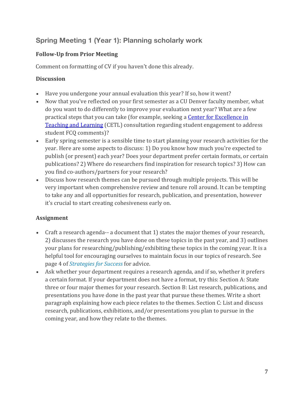# **Spring Meeting 1 (Year 1): Planning scholarly work**

# **Follow-Up from Prior Meeting**

Comment on formatting of CV if you haven't done this already.

# **Discussion**

- Have you undergone your annual evaluation this year? If so, how it went?
- Now that you've reflected on your first semester as a CU Denver faculty member, what do you want to do differently to improve your evaluation next year? What are a few practical steps that you can take (for example, seeking a **Center for Excellence in** Teaching and Learning (CETL) consultation regarding student engagement to address student FCQ comments)?
- Early spring semester is a sensible time to start planning your research activities for the year. Here are some aspects to discuss: 1) Do you know how much you're expected to publish (or present) each year? Does your department prefer certain formats, or certain publications? 2) Where do researchers find inspiration for research topics? 3) How can you find co-authors/partners for your research?
- Discuss how research themes can be pursued through multiple projects. This will be very important when comprehensive review and tenure roll around. It can be tempting to take any and all opportunities for research, publication, and presentation, however it's crucial to start creating cohesiveness early on.

- Craft a research agenda-- a document that 1) states the major themes of your research, 2) discusses the research you have done on these topics in the past year, and 3) outlines your plans for researching/publishing/exhibiting these topics in the coming year. It is a helpful tool for encouraging ourselves to maintain focus in our topics of research. See page 4 of *Strategies for Success* for advice.
- Ask whether your department requires a research agenda, and if so, whether it prefers a certain format. If your department does not have a format, try this: Section A: State three or four major themes for your research. Section B: List research, publications, and presentations you have done in the past year that pursue these themes. Write a short paragraph explaining how each piece relates to the themes. Section C: List and discuss research, publications, exhibitions, and/or presentations you plan to pursue in the coming year, and how they relate to the themes.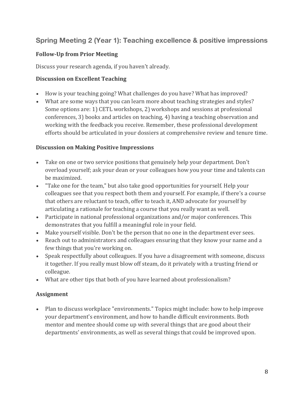# **Spring Meeting 2 (Year 1): Teaching excellence & positive impressions**

#### **Follow-Up from Prior Meeting**

Discuss your research agenda, if you haven't already.

#### **Discussion on Excellent Teaching**

- How is your teaching going? What challenges do you have? What has improved?
- What are some ways that you can learn more about teaching strategies and styles? Some options are: 1) CETL workshops, 2) workshops and sessions at professional conferences, 3) books and articles on teaching, 4) having a teaching observation and working with the feedback you receive. Remember, these professional development efforts should be articulated in your dossiers at comprehensive review and tenure time.

#### **Discussion on Making Positive Impressions**

- Take on one or two service positions that genuinely help your department. Don't overload yourself; ask your dean or your colleagues how you your time and talents can be maximized.
- "Take one for the team," but also take good opportunities for yourself. Help your colleagues see that you respect both them and yourself. For example, if there's a course that others are reluctant to teach, offer to teach it, AND advocate for yourself by articulating a rationale for teaching a course that you really want as well.
- Participate in national professional organizations and/or major conferences. This demonstrates that you fulfill a meaningful role in your field.
- Make yourself visible. Don't be the person that no one in the department ever sees.
- Reach out to administrators and colleagues ensuring that they know your name and a few things that you're working on.
- Speak respectfully about colleagues. If you have a disagreement with someone, discuss it together. If you really must blow off steam, do it privately with a trusting friend or colleague.
- What are other tips that both of you have learned about professionalism?

#### **Assignment**

Plan to discuss workplace "environments." Topics might include: how to help improve your department's environment, and how to handle difficult environments. Both mentor and mentee should come up with several things that are good about their departments' environments, as well as several things that could be improved upon.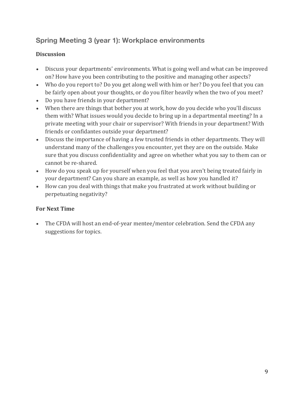# **Spring Meeting 3 (year 1): Workplace environments**

# **Discussion**

- Discuss your departments' environments. What is going well and what can be improved on? How have you been contributing to the positive and managing other aspects?
- Who do you report to? Do you get along well with him or her? Do you feel that you can be fairly open about your thoughts, or do you filter heavily when the two of you meet?
- Do you have friends in your department?
- When there are things that bother you at work, how do you decide who you'll discuss them with? What issues would you decide to bring up in a departmental meeting? In a private meeting with your chair or supervisor? With friends in your department? With friends or confidantes outside your department?
- Discuss the importance of having a few trusted friends in other departments. They will understand many of the challenges you encounter, yet they are on the outside. Make sure that you discuss confidentiality and agree on whether what you say to them can or cannot be re-shared.
- How do you speak up for yourself when you feel that you aren't being treated fairly in your department? Can you share an example, as well as how you handled it?
- How can you deal with things that make you frustrated at work without building or perpetuating negativity?

# **For Next Time**

The CFDA will host an end-of-year mentee/mentor celebration. Send the CFDA any suggestions for topics.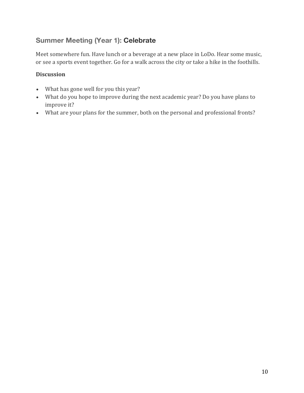# **Summer Meeting (Year 1): Celebrate**

Meet somewhere fun. Have lunch or a beverage at a new place in LoDo. Hear some music, or see a sports event together. Go for a walk across the city or take a hike in the foothills.

#### **Discussion**

- What has gone well for you this year?
- What do you hope to improve during the next academic year? Do you have plans to improve it?
- What are your plans for the summer, both on the personal and professional fronts?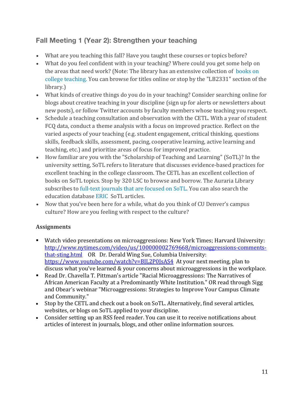# **Fall Meeting 1 (Year 2): Strengthen your teaching**

- What are you teaching this fall? Have you taught these courses or topics before?
- What do you feel confident with in your teaching? Where could you get some help on the areas that need work? (Note: The library has an extensive collection of books on college teaching. You can browse for titles online or stop by the "LB2331" section of the library.)
- What kinds of creative things do you do in your teaching? Consider searching online for blogs about creative teaching in your discipline (sign up for alerts or newsletters about new posts), or follow Twitter accounts by faculty members whose teaching you respect.
- Schedule a teaching consultation and observation with the CETL. With a year of student FCQ data, conduct a theme analysis with a focus on improved practice. Reflect on the varied aspects of your teaching (e.g. student engagement, critical thinking, questions skills, feedback skills, assessment, pacing, cooperative learning, active learning and teaching, etc.) and prioritize areas of focus for improved practice.
- How familiar are you with the "Scholarship of Teaching and Learning" (SoTL)? In the university setting, SoTL refers to literature that discusses evidence-based practices for excellent teaching in the college classroom. The CETL has an excellent collection of books on SoTL topics. Stop by 320 LSC to browse and borrow. The Auraria Library subscribes to full-text journals that are focused on SoTL. You can also search the education database ERIC SoTL articles.
- Now that you've been here for a while, what do you think of CU Denver's campus culture? How are you feeling with respect to the culture?

- Watch video presentations on microaggressions: New York Times; Harvard University: http://www.nytimes.com/video/us/100000002769668/microaggressions-commentsthat-sting.html OR Dr. Derald Wing Sue, Columbia University: https://www.youtube.com/watch?v=BJL2P0JsAS4 At your next meeting, plan to discuss what you've learned & your concerns about microaggressions in the workplace.
- Read Dr. Chavella T. Pittman's article "Racial Microaggressions: The Narratives of African American Faculty at a Predominantly White Institution." OR read through Sigg and Obear's webinar "Microaggressions: Strategies to Improve Your Campus Climate and Community."
- Stop by the CETL and check out a book on SoTL. Alternatively, find several articles, websites, or blogs on SoTL applied to your discipline.
- Consider setting up an RSS feed reader. You can use it to receive notifications about articles of interest in journals, blogs, and other online information sources.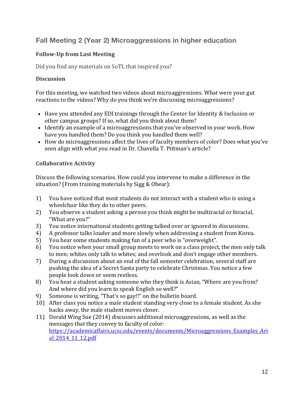# **Fall Meeting 2 (Year 2) Microaggressions in higher education**

### **Follow-Up from Last Meeting**

Did you find any materials on SoTL that inspired you?

#### **Discussion**

For this meeting, we watched two videos about microaggressions. What were your gut reactions to the videos? Why do you think we're discussing microaggressions?

- Have you attended any EDI trainings through the Center for Identity & Inclusion or other campus groups? If so, what did you think about them?
- Identify an example of a microaggressions that you've observed in your work. How have you handled them? Do you think you handled them well?
- How do microaggressions affect the lives of faculty members of color? Does what you've seen align with what you read in Dr. Chavella T. Pittman's article?

#### **Collaborative Activity**

Discuss the following scenarios. How could you intervene to make a difference in the situation? (From training materials by Sigg & Obear):

- 1) You have noticed that most students do not interact with a student who is using a wheelchair like they do to other peers.
- 2) You observe a student asking a person you think might be multiracial or biracial, "What are you?"
- 3) You notice international students getting talked over or ignored in discussions.
- 4) A professor talks louder and more slowly when addressing a student from Korea.
- 5) You hear some students making fun of a peer who is "overweight".
- 6) You notice when your small group meets to work on a class project, the men only talk to men; whites only talk to whites; and overlook and don't engage other members.
- 7) During a discussion about an end of the fall semester celebration, several staff are pushing the idea of a Secret Santa party to celebrate Christmas. You notice a few people look down or seem restless.
- 8) You hear a student asking someone who they think is Asian, "Where are you from? And where did you learn to speak English so well?"
- 9) Someone is writing, "That's so gay!!" on the bulletin board.
- 10) After class you notice a male student standing very close to a female student. As she backs away, the male student moves closer.
- 11) Derald Wing Sue (2014) discusses additional microaggressions, as well as the messages that they convey to faculty of color: https://academicaffairs.ucsc.edu/events/documents/Microaggressions\_Examples\_Ari al\_2014\_11\_12.pdf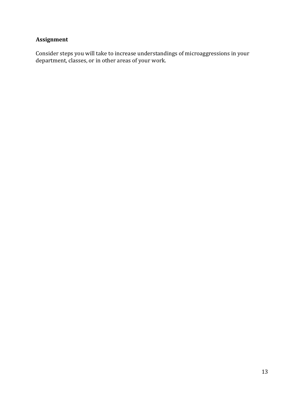# **Assignment**

Consider steps you will take to increase understandings of microaggressions in your department, classes, or in other areas of your work.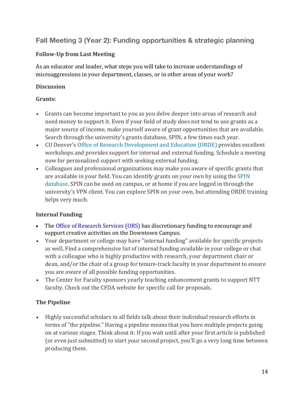# **Fall Meeting 3 (Year 2): Funding opportunities & strategic planning**

#### **Follow-Up from Last Meeting**

As an educator and leader, what steps you will take to increase understandings of microaggressions in your department, classes, or in other areas of your work?

#### **Discussion**

#### **Grants:**

- Grants can become important to you as you delve deeper into areas of research and need money to support it. Even if your field of study does not tend to use grants as a major source of income, make yourself aware of grant opportunities that are available. Search through the university's grants database, SPIN, a few times each year.
- CU Denver's Office of Research Development and Education (ORDE) provides excellent workshops and provides support for internal and external funding. Schedule a meeting now for personalized support with seeking external funding.
- Colleagues and professional organizations may make you aware of specific grants that are available in your field. You can identify grants on your own by using the SPIN database. SPIN can be used on campus, or at home if you are logged in through the university's VPN client. You can explore SPIN on your own, but attending ORDE training helps very much.

# **Internal Funding**

- The Office of Research Services (ORS) has discretionary funding to encourage and support creative activities on the Downtown Campus.
- Your department or college may have "internal funding" available for specific projects as well. Find a comprehensive list of internal funding available in your college or chat with a colleague who is highly productive with research, your department chair or dean, and/or the chair of a group for tenure-track faculty in your department to ensure you are aware of all possible funding opportunities.
- The Center for Faculty sponsors yearly teaching enhancement grants to support NTT faculty. Check out the CFDA website for specific call for proposals.

# **The Pipeline**

• Highly successful scholars in all fields talk about their individual research efforts in terms of "the pipeline." Having a pipeline means that you have multiple projects going on at various stages. Think about it: If you wait until after your first article is published (or even just submitted) to start your second project, you'll go a very long time between producing them.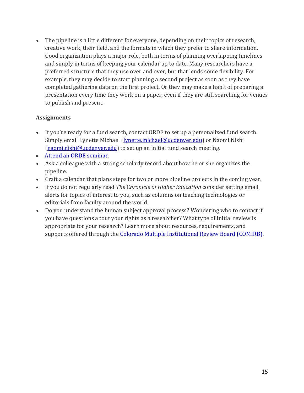• The pipeline is a little different for everyone, depending on their topics of research, creative work, their field, and the formats in which they prefer to share information. Good organization plays a major role, both in terms of planning overlapping timelines and simply in terms of keeping your calendar up to date. Many researchers have a preferred structure that they use over and over, but that lends some flexibility. For example, they may decide to start planning a second project as soon as they have completed gathering data on the first project. Or they may make a habit of preparing a presentation every time they work on a paper, even if they are still searching for venues to publish and present.

- If you're ready for a fund search, contact ORDE to set up a personalized fund search. Simply email Lynette Michael (lynette.michael@ucdenver.edu) or Naomi Nishi (naomi.nishi@ucdenver.edu) to set up an initial fund search meeting.
- Attend an ORDE seminar.
- Ask a colleague with a strong scholarly record about how he or she organizes the pipeline.
- Craft a calendar that plans steps for two or more pipeline projects in the coming year.
- If you do not regularly read *The Chronicle of Higher Education* consider setting email alerts for topics of interest to you, such as columns on teaching technologies or editorials from faculty around the world.
- Do you understand the human subject approval process? Wondering who to contact if you have questions about your rights as a researcher? What type of initial review is appropriate for your research? Learn more about resources, requirements, and supports offered through the Colorado Multiple Institutional Review Board (COMIRB).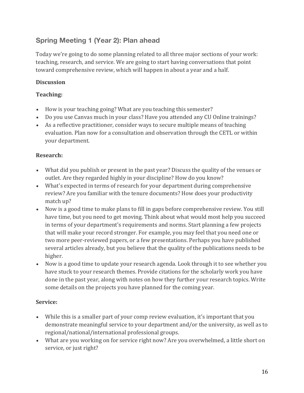# **Spring Meeting 1 (Year 2): Plan ahead**

Today we're going to do some planning related to all three major sections of your work: teaching, research, and service. We are going to start having conversations that point toward comprehensive review, which will happen in about a year and a half.

# **Discussion**

# **Teaching:**

- How is your teaching going? What are you teaching this semester?
- Do you use Canvas much in your class? Have you attended any CU Online trainings?
- As a reflective practitioner, consider ways to secure multiple means of teaching evaluation. Plan now for a consultation and observation through the CETL or within your department.

### **Research:**

- What did you publish or present in the past year? Discuss the quality of the venues or outlet. Are they regarded highly in your discipline? How do you know?
- What's expected in terms of research for your department during comprehensive review? Are you familiar with the tenure documents? How does your productivity match up?
- Now is a good time to make plans to fill in gaps before comprehensive review. You still have time, but you need to get moving. Think about what would most help you succeed in terms of your department's requirements and norms. Start planning a few projects that will make your record stronger. For example, you may feel that you need one or two more peer-reviewed papers, or a few presentations. Perhaps you have published several articles already, but you believe that the quality of the publications needs to be higher.
- Now is a good time to update your research agenda. Look through it to see whether you have stuck to your research themes. Provide citations for the scholarly work you have done in the past year, along with notes on how they further your research topics. Write some details on the projects you have planned for the coming year.

# **Service:**

- While this is a smaller part of your comp review evaluation, it's important that you demonstrate meaningful service to your department and/or the university, as well as to regional/national/international professional groups.
- What are you working on for service right now? Are you overwhelmed, a little short on service, or just right?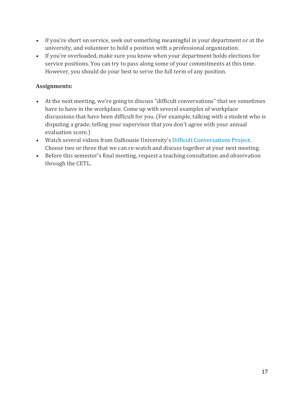- If you're short on service, seek out something meaningful in your department or at the university, and volunteer to hold a position with a professional organization.
- If you're overloaded, make sure you know when your department holds elections for service positions. You can try to pass along some of your commitments at this time. However, you should do your best to serve the full term of any position.

- At the next meeting, we're going to discuss "difficult conversations" that we sometimes have to have in the workplace. Come up with several examples of workplace discussions that have been difficult for you. (For example, talking with a student who is disputing a grade; telling your supervisor that you don't agree with your annual evaluation score.)
- Watch several videos from Dalhousie University's Difficult Conversations Project. Choose two or three that we can re-watch and discuss together at your next meeting.
- Before this semester's final meeting, request a teaching consultation and observation through the CETL.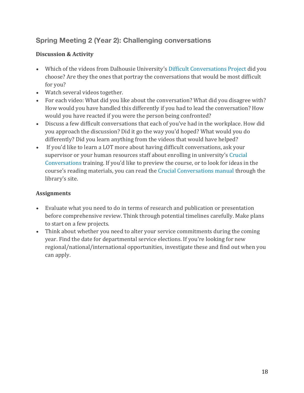# **Spring Meeting 2 (Year 2): Challenging conversations**

### **Discussion & Activity**

- Which of the videos from Dalhousie University's Difficult Conversations Project did you choose? Are they the ones that portray the conversations that would be most difficult for you?
- Watch several videos together.
- For each video: What did you like about the conversation? What did you disagree with? How would you have handled this differently if you had to lead the conversation? How would you have reacted if you were the person being confronted?
- Discuss a few difficult conversations that each of you've had in the workplace. How did you approach the discussion? Did it go the way you'd hoped? What would you do differently? Did you learn anything from the videos that would have helped?
- If you'd like to learn a LOT more about having difficult conversations, ask your supervisor or your human resources staff about enrolling in university's Crucial Conversations training. If you'd like to preview the course, or to look for ideas in the course's reading materials, you can read the Crucial Conversations manual through the library's site.

- Evaluate what you need to do in terms of research and publication or presentation before comprehensive review. Think through potential timelines carefully. Make plans to start on a few projects.
- Think about whether you need to alter your service commitments during the coming year. Find the date for departmental service elections. If you're looking for new regional/national/international opportunities, investigate these and find out when you can apply.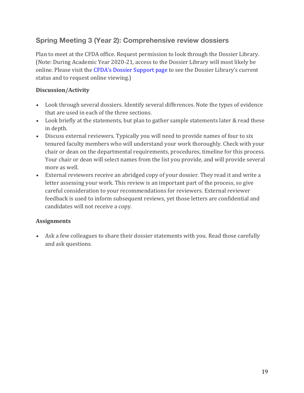# **Spring Meeting 3 (Year 2): Comprehensive review dossiers**

Plan to meet at the CFDA office. Request permission to look through the Dossier Library. (Note: During Academic Year 2020-21, access to the Dossier Library will most likely be online. Please visit the CFDA's Dossier Support page to see the Dossier Library's current status and to request online viewing.)

#### **Discussion/Activity**

- Look through several dossiers. Identify several differences. Note the types of evidence that are used in each of the three sections.
- Look briefly at the statements, but plan to gather sample statements later & read these in depth.
- Discuss external reviewers. Typically you will need to provide names of four to six tenured faculty members who will understand your work thoroughly. Check with your chair or dean on the departmental requirements, procedures, timeline for this process. Your chair or dean will select names from the list you provide, and will provide several more as well.
- External reviewers receive an abridged copy of your dossier. They read it and write a letter assessing your work. This review is an important part of the process, so give careful consideration to your recommendations for reviewers. External reviewer feedback is used to inform subsequent reviews, yet those letters are confidential and candidates will not receive a copy.

#### **Assignments**

• Ask a few colleagues to share their dossier statements with you. Read those carefully and ask questions.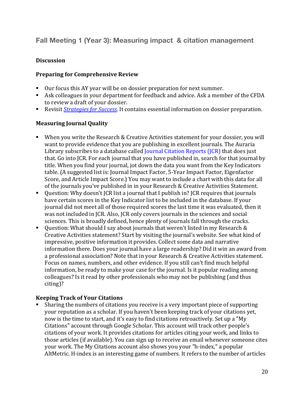# **Fall Meeting 1 (Year 3): Measuring impact & citation management**

#### **Discussion**

#### **Preparing for Comprehensive Review**

- Our focus this AY year will be on dossier preparation for next summer.
- Ask colleagues in your department for feedback and advice. Ask a member of the CFDA to review a draft of your dossier.
- Revisit *Strategies for Success*. It contains essential information on dossier preparation.

#### **Measuring Journal Quality**

- When you write the Research & Creative Activities statement for your dossier, you will want to provide evidence that you are publishing in excellent journals. The Auraria Library subscribes to a database called <u>Journal Citation Reports (JCR)</u> that does just that. Go into JCR. For each journal that you have published in, search for that journal by title. When you find your journal, jot down the data you want from the Key Indicators table. (A suggested list is: Journal Impact Factor, 5-Year Impact Factor, Eigenfactor Score, and Article Impact Score.) You may want to include a chart with this data for all of the journals you've published in in your Research & Creative Activities Statement.
- Question: Why doesn't JCR list a journal that I publish in? JCR requires that journals have certain scores in the Key Indicator list to be included in the database. If your journal did not meet all of those required scores the last time it was evaluated, then it was not included in JCR. Also, JCR only covers journals in the sciences and social sciences. This is broadly defined, hence plenty of journals fall through the cracks.
- Question: What should I say about journals that weren't listed in my Research & Creative Activities statement? Start by visiting the journal's website. See what kind of impressive, positive information it provides. Collect some data and narrative information there. Does your journal have a large readership? Did it win an award from a professional association? Note that in your Research & Creative Activities statement. Focus on names, numbers, and other evidence. If you still can't find much helpful information, be ready to make your case for the journal. Is it popular reading among colleagues? Is it read by other professionals who may not be publishing (and thus citing)?

#### **Keeping Track of Your Citations**

Sharing the numbers of citations you receive is a very important piece of supporting your reputation as a scholar. If you haven't been keeping track of your citations yet, now is the time to start, and it's easy to find citations retroactively. Set up a "My Citations" account through Google Scholar. This account will track other people's citations of your work. It provides citations for articles citing your work, and links to those articles (if available). You can sign up to receive an email whenever someone cites your work. The My Citations account also shows you your "h-index," a popular AltMetric. H-index is an interesting game of numbers. It refers to the number of articles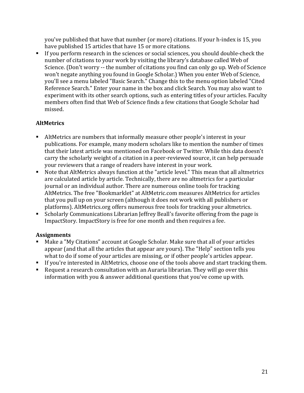you've published that have that number (or more) citations. If your h-index is 15, you have published 15 articles that have 15 or more citations.

■ If you perform research in the sciences or social sciences, you should double-check the number of citations to your work by visiting the library's database called Web of Science. (Don't worry -- the number of citations you find can only go up. Web of Science won't negate anything you found in Google Scholar.) When you enter Web of Science, you'll see a menu labeled "Basic Search." Change this to the menu option labeled "Cited Reference Search." Enter your name in the box and click Search. You may also want to experiment with its other search options, such as entering titles of your articles. Faculty members often find that Web of Science finds a few citations that Google Scholar had missed. 

# **AltMetrics**

- AltMetrics are numbers that informally measure other people's interest in your publications. For example, many modern scholars like to mention the number of times that their latest article was mentioned on Facebook or Twitter. While this data doesn't carry the scholarly weight of a citation in a peer-reviewed source, it can help persuade your reviewers that a range of readers have interest in your work.
- Note that AltMetrics always function at the "article level." This mean that all altmetrics are calculated article by article. Technically, there are no altmetrics for a particular journal or an individual author. There are numerous online tools for tracking AltMetrics. The free "Bookmarklet" at AltMetric.com measures AltMetrics for articles that you pull up on your screen (although it does not work with all publishers or platforms). AltMetrics.org offers numerous free tools for tracking your altmetrics.
- Scholarly Communications Librarian Jeffrey Beall's favorite offering from the page is ImpactStory. ImpactStory is free for one month and then requires a fee.

- Make a "My Citations" account at Google Scholar. Make sure that all of your articles appear (and that all the articles that appear are yours). The "Help" section tells you what to do if some of your articles are missing, or if other people's articles appear.
- **F** If you're interested in AltMetrics, choose one of the tools above and start tracking them.
- Request a research consultation with an Auraria librarian. They will go over this information with you & answer additional questions that you've come up with.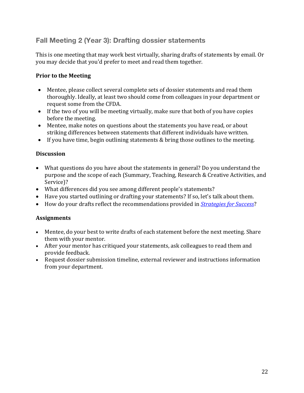# **Fall Meeting 2 (Year 3): Drafting dossier statements**

This is one meeting that may work best virtually, sharing drafts of statements by email. Or you may decide that you'd prefer to meet and read them together.

#### **Prior to the Meeting**

- Mentee, please collect several complete sets of dossier statements and read them thoroughly. Ideally, at least two should come from colleagues in your department or request some from the CFDA.
- If the two of you will be meeting virtually, make sure that both of you have copies before the meeting.
- Mentee, make notes on questions about the statements you have read, or about striking differences between statements that different individuals have written.
- If you have time, begin outlining statements  $&$  bring those outlines to the meeting.

#### **Discussion**

- What questions do you have about the statements in general? Do you understand the purpose and the scope of each (Summary, Teaching, Research & Creative Activities, and Service)?
- What differences did you see among different people's statements?
- Have you started outlining or drafting your statements? If so, let's talk about them.
- How do your drafts reflect the recommendations provided in *Strategies for Success*?

- Mentee, do your best to write drafts of each statement before the next meeting. Share them with your mentor.
- After your mentor has critiqued your statements, ask colleagues to read them and provide feedback.
- Request dossier submission timeline, external reviewer and instructions information from your department.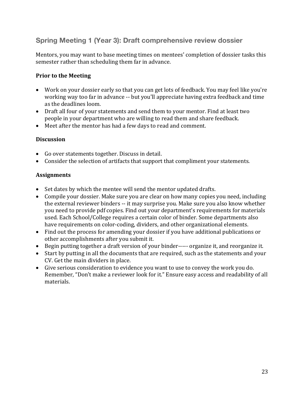# **Spring Meeting 1 (Year 3): Draft comprehensive review dossier**

Mentors, you may want to base meeting times on mentees' completion of dossier tasks this semester rather than scheduling them far in advance.

#### **Prior to the Meeting**

- Work on your dossier early so that you can get lots of feedback. You may feel like you're working way too far in advance -- but you'll appreciate having extra feedback and time as the deadlines loom.
- Draft all four of your statements and send them to your mentor. Find at least two people in your department who are willing to read them and share feedback.
- Meet after the mentor has had a few days to read and comment.

#### **Discussion**

- Go over statements together. Discuss in detail.
- Consider the selection of artifacts that support that compliment your statements.

- Set dates by which the mentee will send the mentor updated drafts.
- Compile your dossier. Make sure you are clear on how many copies you need, including the external reviewer binders -- it may surprise you. Make sure you also know whether you need to provide pdf copies. Find out your department's requirements for materials used. Each School/College requires a certain color of binder. Some departments also have requirements on color-coding, dividers, and other organizational elements.
- Find out the process for amending your dossier if you have additional publications or other accomplishments after you submit it.
- Begin putting together a draft version of your binder----- organize it, and reorganize it.
- Start by putting in all the documents that are required, such as the statements and your CV. Get the main dividers in place.
- Give serious consideration to evidence you want to use to convey the work you do. Remember, "Don't make a reviewer look for it." Ensure easy access and readability of all materials.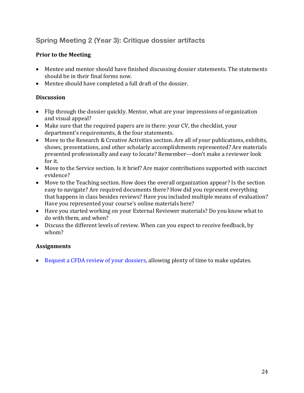# **Spring Meeting 2 (Year 3): Critique dossier artifacts**

# **Prior to the Meeting**

- Mentee and mentor should have finished discussing dossier statements. The statements should be in their final forms now.
- Mentee should have completed a full draft of the dossier.

#### **Discussion**

- Flip through the dossier quickly. Mentor, what are your impressions of organization and visual appeal?
- Make sure that the required papers are in there: your CV, the checklist, your department's requirements, & the four statements.
- Move to the Research & Creative Activities section. Are all of your publications, exhibits, shows, presentations, and other scholarly accomplishments represented? Are materials presented professionally and easy to locate? Remember---don't make a reviewer look for it.
- Move to the Service section. Is it brief? Are major contributions supported with succinct evidence?
- Move to the Teaching section. How does the overall organization appear? Is the section easy to navigate? Are required documents there? How did you represent everything that happens in class besides reviews? Have you included multiple means of evaluation? Have you represented your course's online materials here?
- Have you started working on your External Reviewer materials? Do you know what to do with them, and when?
- Discuss the different levels of review. When can you expect to receive feedback, by whom?

#### **Assignments**

• Request a CFDA review of your dossiers, allowing plenty of time to make updates.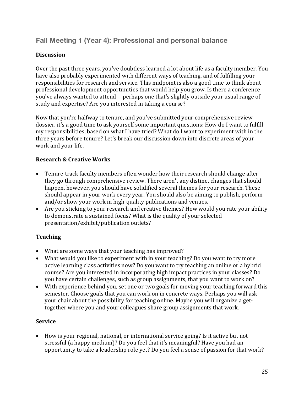# **Fall Meeting 1 (Year 4): Professional and personal balance**

### **Discussion**

Over the past three years, you've doubtless learned a lot about life as a faculty member. You have also probably experimented with different ways of teaching, and of fulfilling your responsibilities for research and service. This midpoint is also a good time to think about professional development opportunities that would help you grow. Is there a conference you've always wanted to attend -- perhaps one that's slightly outside your usual range of study and expertise? Are you interested in taking a course?

Now that you're halfway to tenure, and you've submitted your comprehensive review dossier, it's a good time to ask yourself some important questions: How do I want to fulfill my responsibilities, based on what I have tried? What do I want to experiment with in the three years before tenure? Let's break our discussion down into discrete areas of your work and your life.

# **Research & Creative Works**

- Tenure-track faculty members often wonder how their research should change after they go through comprehensive review. There aren't any distinct changes that should happen, however, you should have solidified several themes for your research. These should appear in your work every year. You should also be aiming to publish, perform and/or show your work in high-quality publications and venues.
- Are you sticking to your research and creative themes? How would you rate your ability to demonstrate a sustained focus? What is the quality of your selected presentation/exhibit/publication outlets?

# **Teaching**

- What are some ways that your teaching has improved?
- What would you like to experiment with in your teaching? Do you want to try more active learning class activities now? Do you want to try teaching an online or a hybrid course? Are you interested in incorporating high impact practices in your classes? Do you have certain challenges, such as group assignments, that you want to work on?
- With experience behind you, set one or two goals for moving your teaching forward this semester. Choose goals that you can work on in concrete ways. Perhaps you will ask your chair about the possibility for teaching online. Maybe you will organize a gettogether where you and your colleagues share group assignments that work.

#### **Service**

• How is your regional, national, or international service going? Is it active but not stressful (a happy medium)? Do you feel that it's meaningful? Have you had an opportunity to take a leadership role yet? Do you feel a sense of passion for that work?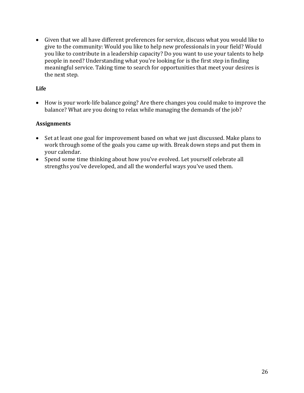• Given that we all have different preferences for service, discuss what you would like to give to the community: Would you like to help new professionals in your field? Would you like to contribute in a leadership capacity? Do you want to use your talents to help people in need? Understanding what you're looking for is the first step in finding meaningful service. Taking time to search for opportunities that meet your desires is the next step.

#### **Life**

• How is your work-life balance going? Are there changes you could make to improve the balance? What are you doing to relax while managing the demands of the job?

- Set at least one goal for improvement based on what we just discussed. Make plans to work through some of the goals you came up with. Break down steps and put them in vour calendar.
- Spend some time thinking about how you've evolved. Let yourself celebrate all strengths you've developed, and all the wonderful ways you've used them.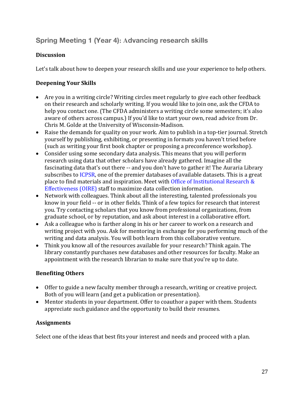# **Spring Meeting 1 (Year 4): Advancing research skills**

### **Discussion**

Let's talk about how to deepen your research skills and use your experience to help others.

# **Deepening Your Skills**

- Are you in a writing circle? Writing circles meet regularly to give each other feedback on their research and scholarly writing. If you would like to join one, ask the CFDA to help you contact one. (The CFDA administers a writing circle some semesters; it's also aware of others across campus.) If you'd like to start your own, read advice from Dr. Chris M. Golde at the University of Wisconsin-Madison.
- Raise the demands for quality on your work. Aim to publish in a top-tier journal. Stretch yourself by publishing, exhibiting, or presenting in formats you haven't tried before (such as writing your first book chapter or proposing a preconference workshop).
- Consider using some secondary data analysis. This means that you will perform research using data that other scholars have already gathered. Imagine all the fascinating data that's out there -- and you don't have to gather it! The Auraria Library subscribes to ICPSR, one of the premier databases of available datasets. This is a great place to find materials and inspiration. Meet with Office of Institutional Research  $&$ Effectiveness (OIRE) staff to maximize data collection information.
- Network with colleagues. Think about all the interesting, talented professionals you know in your field -- or in other fields. Think of a few topics for research that interest you. Try contacting scholars that you know from professional organizations, from graduate school, or by reputation, and ask about interest in a collaborative effort.
- Ask a colleague who is farther along in his or her career to work on a research and writing project with you. Ask for mentoring in exchange for you performing much of the writing and data analysis. You will both learn from this collaborative venture.
- Think you know all of the resources available for your research? Think again. The library constantly purchases new databases and other resources for faculty. Make an appointment with the research librarian to make sure that you're up to date.

# **Benefiting Others**

- Offer to guide a new faculty member through a research, writing or creative project. Both of you will learn (and get a publication or presentation).
- Mentor students in your department. Offer to coauthor a paper with them. Students appreciate such guidance and the opportunity to build their resumes.

# **Assignments**

Select one of the ideas that best fits your interest and needs and proceed with a plan.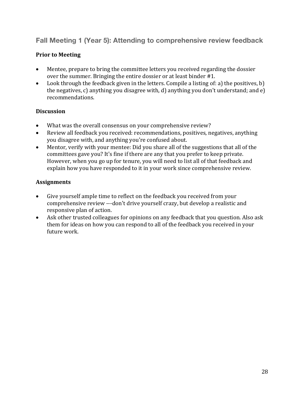**Fall Meeting 1 (Year 5): Attending to comprehensive review feedback**

# **Prior to Meeting**

- Mentee, prepare to bring the committee letters you received regarding the dossier over the summer. Bringing the entire dossier or at least binder #1.
- Look through the feedback given in the letters. Compile a listing of: a) the positives, b) the negatives, c) anything you disagree with, d) anything you don't understand; and  $e$ ) recommendations.

#### **Discussion**

- What was the overall consensus on your comprehensive review?
- Review all feedback you received: recommendations, positives, negatives, anything you disagree with, and anything you're confused about.
- Mentor, verify with your mentee: Did you share all of the suggestions that all of the committees gave you? It's fine if there are any that you prefer to keep private. However, when you go up for tenure, you will need to list all of that feedback and explain how you have responded to it in your work since comprehensive review.

- Give yourself ample time to reflect on the feedback you received from your comprehensive review ---don't drive yourself crazy, but develop a realistic and responsive plan of action.
- Ask other trusted colleagues for opinions on any feedback that you question. Also ask them for ideas on how you can respond to all of the feedback you received in your future work.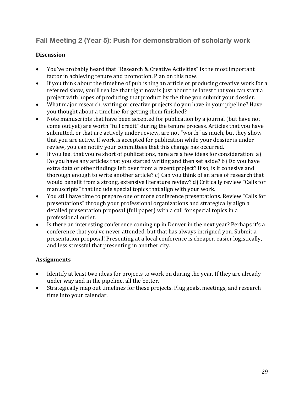# **Fall Meeting 2 (Year 5): Push for demonstration of scholarly work**

#### **Discussion**

- You've probably heard that "Research & Creative Activities" is the most important factor in achieving tenure and promotion. Plan on this now.
- If you think about the timeline of publishing an article or producing creative work for a referred show, you'll realize that right now is just about the latest that you can start a project with hopes of producing that product by the time you submit your dossier.
- What major research, writing or creative projects do you have in your pipeline? Have you thought about a timeline for getting them finished?
- Note manuscripts that have been accepted for publication by a journal (but have not come out yet) are worth "full credit" during the tenure process. Articles that you have submitted, or that are actively under review, are not "worth" as much, but they show that you are active. If work is accepted for publication while your dossier is under review, you can notify your committees that this change has occurred.
- If you feel that you're short of publications, here are a few ideas for consideration: a) Do you have any articles that you started writing and then set aside? b) Do you have extra data or other findings left over from a recent project? If so, is it cohesive and thorough enough to write another article?  $c$ ) Can you think of an area of research that would benefit from a strong, extensive literature review? d) Critically review "Calls for manuscripts" that include special topics that align with your work.
- You still have time to prepare one or more conference presentations. Review "Calls for presentations" through your professional organizations and strategically align a detailed presentation proposal (full paper) with a call for special topics in a professional outlet.
- Is there an interesting conference coming up in Denver in the next year? Perhaps it's a conference that you've never attended, but that has always intrigued you. Submit a presentation proposal! Presenting at a local conference is cheaper, easier logistically, and less stressful that presenting in another city.

- Identify at least two ideas for projects to work on during the year. If they are already under way and in the pipeline, all the better.
- Strategically map out timelines for these projects. Plug goals, meetings, and research time into your calendar.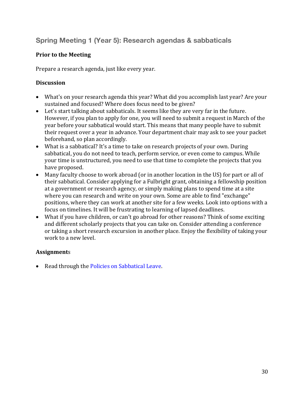# **Spring Meeting 1 (Year 5): Research agendas & sabbaticals**

### **Prior to the Meeting**

Prepare a research agenda, just like every year.

#### **Discussion**

- What's on your research agenda this year? What did you accomplish last year? Are your sustained and focused? Where does focus need to be given?
- Let's start talking about sabbaticals. It seems like they are very far in the future. However, if you plan to apply for one, you will need to submit a request in March of the year before your sabbatical would start. This means that many people have to submit their request over a year in advance. Your department chair may ask to see your packet beforehand, so plan accordingly.
- What is a sabbatical? It's a time to take on research projects of your own. During sabbatical, you do not need to teach, perform service, or even come to campus. While your time is unstructured, you need to use that time to complete the projects that you have proposed.
- Many faculty choose to work abroad (or in another location in the US) for part or all of their sabbatical. Consider applying for a Fulbright grant, obtaining a fellowship position at a government or research agency, or simply making plans to spend time at a site where you can research and write on your own. Some are able to find "exchange" positions, where they can work at another site for a few weeks. Look into options with a focus on timelines. It will be frustrating to learning of lapsed deadlines.
- What if you have children, or can't go abroad for other reasons? Think of some exciting and different scholarly projects that you can take on. Consider attending a conference or taking a short research excursion in another place. Enjoy the flexibility of taking your work to a new level.

#### **Assignment**s

• Read through the Policies on Sabbatical Leave.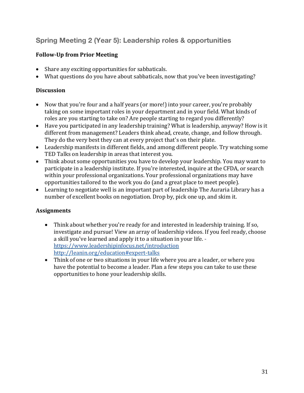# **Spring Meeting 2 (Year 5): Leadership roles & opportunities**

### **Follow-Up from Prior Meeting**

- Share any exciting opportunities for sabbaticals.
- What questions do you have about sabbaticals, now that you've been investigating?

#### **Discussion**

- Now that you're four and a half years (or more!) into your career, you're probably taking on some important roles in your department and in your field. What kinds of roles are you starting to take on? Are people starting to regard you differently?
- Have you participated in any leadership training? What is leadership, anyway? How is it different from management? Leaders think ahead, create, change, and follow through. They do the very best they can at every project that's on their plate.
- Leadership manifests in different fields, and among different people. Try watching some TED Talks on leadership in areas that interest you.
- Think about some opportunities you have to develop your leadership. You may want to participate in a leadership institute. If you're interested, inquire at the CFDA, or search within your professional organizations. Your professional organizations may have opportunities tailored to the work you do (and a great place to meet people).
- Learning to negotiate well is an important part of leadership The Auraria Library has a number of excellent books on negotiation. Drop by, pick one up, and skim it.

- Think about whether you're ready for and interested in leadership training. If so, investigate and pursue! View an array of leadership videos. If you feel ready, choose a skill you've learned and apply it to a situation in your life. https://www.leadershipinfocus.net/introduction http://leanin.org/education#expert-talks
- Think of one or two situations in your life where you are a leader, or where you have the potential to become a leader. Plan a few steps you can take to use these opportunities to hone your leadership skills.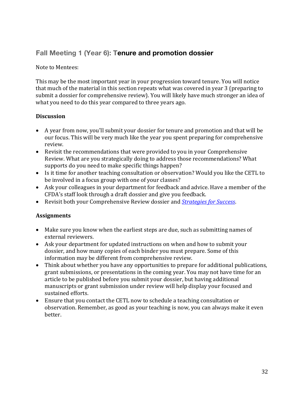# **Fall Meeting 1 (Year 6): Tenure and promotion dossier**

Note to Mentees:

This may be the most important year in your progression toward tenure. You will notice that much of the material in this section repeats what was covered in year 3 (preparing to submit a dossier for comprehensive review). You will likely have much stronger an idea of what you need to do this year compared to three years ago.

#### **Discussion**

- A year from now, you'll submit your dossier for tenure and promotion and that will be our focus. This will be very much like the year you spent preparing for comprehensive review.
- Revisit the recommendations that were provided to you in your Comprehensive Review. What are you strategically doing to address those recommendations? What supports do you need to make specific things happen?
- Is it time for another teaching consultation or observation? Would you like the CETL to be involved in a focus group with one of your classes?
- Ask your colleagues in your department for feedback and advice. Have a member of the CFDA's staff look through a draft dossier and give you feedback.
- Revisit both your Comprehensive Review dossier and *Strategies for Success*.

- Make sure you know when the earliest steps are due, such as submitting names of external reviewers.
- Ask your department for updated instructions on when and how to submit your dossier, and how many copies of each binder you must prepare. Some of this information may be different from comprehensive review.
- Think about whether you have any opportunities to prepare for additional publications, grant submissions, or presentations in the coming year. You may not have time for an article to be published before you submit your dossier, but having additional manuscripts or grant submission under review will help display your focused and sustained efforts.
- Ensure that you contact the CETL now to schedule a teaching consultation or observation. Remember, as good as your teaching is now, you can always make it even better.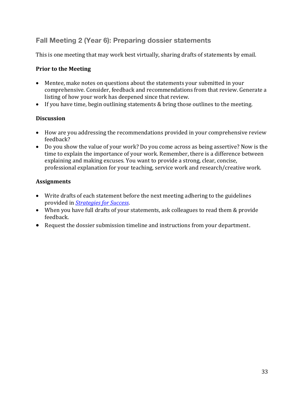# **Fall Meeting 2 (Year 6): Preparing dossier statements**

This is one meeting that may work best virtually, sharing drafts of statements by email.

#### **Prior to the Meeting**

- Mentee, make notes on questions about the statements your submitted in your comprehensive. Consider, feedback and recommendations from that review. Generate a listing of how your work has deepened since that review.
- If you have time, begin outlining statements & bring those outlines to the meeting.

#### **Discussion**

- How are you addressing the recommendations provided in your comprehensive review feedback?
- Do you show the value of your work? Do you come across as being assertive? Now is the time to explain the importance of your work. Remember, there is a difference between explaining and making excuses. You want to provide a strong, clear, concise, professional explanation for your teaching, service work and research/creative work.

- Write drafts of each statement before the next meeting adhering to the guidelines provided in *Strategies for Success*.
- When you have full drafts of your statements, ask colleagues to read them & provide feedback.
- Request the dossier submission timeline and instructions from your department.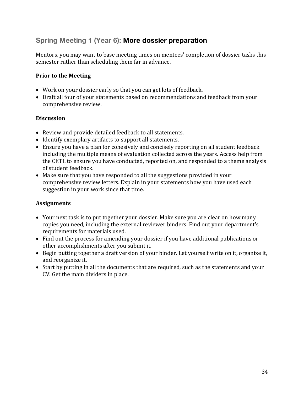# **Spring Meeting 1 (Year 6): More dossier preparation**

Mentors, you may want to base meeting times on mentees' completion of dossier tasks this semester rather than scheduling them far in advance.

#### **Prior to the Meeting**

- Work on your dossier early so that you can get lots of feedback.
- Draft all four of your statements based on recommendations and feedback from your comprehensive review.

#### **Discussion**

- Review and provide detailed feedback to all statements.
- Identify exemplary artifacts to support all statements.
- Ensure you have a plan for cohesively and concisely reporting on all student feedback including the multiple means of evaluation collected across the years. Access help from the CETL to ensure you have conducted, reported on, and responded to a theme analysis of student feedback.
- Make sure that you have responded to all the suggestions provided in your comprehensive review letters. Explain in your statements how you have used each suggestion in your work since that time.

- Your next task is to put together your dossier. Make sure you are clear on how many copies you need, including the external reviewer binders. Find out your department's requirements for materials used.
- Find out the process for amending your dossier if you have additional publications or other accomplishments after you submit it.
- Begin putting together a draft version of your binder. Let yourself write on it, organize it, and reorganize it.
- Start by putting in all the documents that are required, such as the statements and your CV. Get the main dividers in place.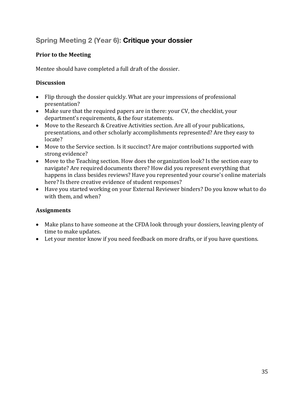# **Spring Meeting 2 (Year 6): Critique your dossier**

# **Prior to the Meeting**

Mentee should have completed a full draft of the dossier.

### **Discussion**

- Flip through the dossier quickly. What are your impressions of professional presentation?
- Make sure that the required papers are in there: your CV, the checklist, your department's requirements, & the four statements.
- Move to the Research & Creative Activities section. Are all of your publications, presentations, and other scholarly accomplishments represented? Are they easy to locate?
- Move to the Service section. Is it succinct? Are major contributions supported with strong evidence?
- Move to the Teaching section. How does the organization look? Is the section easy to navigate? Are required documents there? How did you represent everything that happens in class besides reviews? Have you represented your course's online materials here? Is there creative evidence of student responses?
- Have you started working on your External Reviewer binders? Do you know what to do with them, and when?

- Make plans to have someone at the CFDA look through your dossiers, leaving plenty of time to make updates.
- Let your mentor know if you need feedback on more drafts, or if you have questions.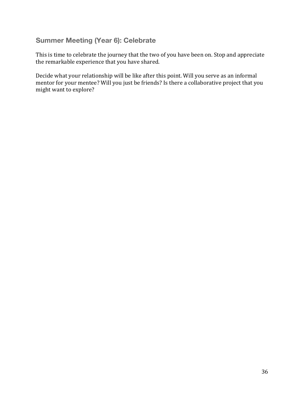# **Summer Meeting (Year 6): Celebrate**

This is time to celebrate the journey that the two of you have been on. Stop and appreciate the remarkable experience that you have shared.

Decide what your relationship will be like after this point. Will you serve as an informal mentor for your mentee? Will you just be friends? Is there a collaborative project that you might want to explore?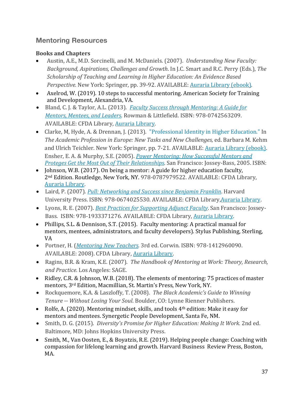# **Mentoring Resources**

### **Books and Chapters**

- Austin, A.E., M.D. Sorcinelli, and M. McDaniels. (2007). *Understanding New Faculty: Background, Aspirations, Challenges and Growth. In J.C. Smart and R.C. Perry (Eds.), The Scholarship of Teaching and Learning in Higher Education: An Evidence Based Perspective.* New York: Springer, pp. 39-92. AVAILABLE: Auraria Library (ebook).
- Axelrod, W. (2019). 10 steps to successful mentoring. American Society for Training and Development, Alexandria, VA.
- Bland, C. J. & Taylor, A.L. (2013). *Faculty Success through Mentoring: A Guide for Mentors, Mentees, and Leaders. Rowman & Littlefield. ISBN: 978-0742563209.* AVAILABLE: CFDA Library, Auraria Library.
- Clarke, M, Hyde, A. & Drennan, J. (2013). "Professional Identity in Higher Education." In *The Academic Profession in Europe: New Tasks and New Challenges, ed. Barbara M. Kehm* and Ulrich Teichler. New York: Springer, pp. 7-21. AVAILABLE: Auraria Library (ebook). Ensher, E. A. & Murphy, S.E. (2005). *Power Mentoring: How Successful Mentors and Proteges Get the Most Out of Their Relationships*. San Francisco: Jossey-Bass, 2005. ISBN:
- Johnson, W.B. (2017). On being a mentor: A guide for higher education faculty, 2<sup>nd</sup> Edition. Routledge, New York, NY. 978-0787979522. AVAILABLE: CFDA Library, Auraria Library.
- Laird, P. (2007). *Pull: Networking and Success since Benjamin Franklin*. Harvard University Press. ISBN: 978-0674025530. AVAILABLE: CFDA Library, Auraria Library.
- Lyons, R. E. (2007). *Best Practices for Supporting Adjunct Faculty*. San Francisco: Jossey-Bass. ISBN: 978-1933371276. AVAILABLE: CFDA Library, Auraria Library.
- Phillips, S.L. & Dennison, S.T. (2015). Faculty mentoring: A practical manual for mentors, mentees, administrators, and faculty developers). Stylus Publishing, Sterling, VA
- Portner, H. (*Mentoring New Teachers.* 3rd ed. Corwin. ISBN: 978-1412960090. AVAILABLE: 2008). CFDA Library, Auraria Library.
- Ragins, B.R. & Kram, K.E. (2007). *The Handbook of Mentoring at Work: Theory, Research, and Practice.* Los Angeles: SAGE.
- Ridley, C.R. & Johnson, W.B. (2018). The elements of mentoring: 75 practices of master mentors, 3<sup>rd</sup> Edition, Macmillian, St. Martin's Press, New York, NY.
- Rockquemore, K.A. & Laszloffy, T. (2008). The Black Academic's Guide to Winning *Tenure* -- *Without Losing Your Soul*. Boulder, CO: Lynne Rienner Publishers.
- Rolfe, A. (2020). Mentoring mindset, skills, and tools  $4<sup>th</sup>$  edition: Make it easy for mentors and mentees. Synergetic People Development, Santa Fe, NM.
- Smith, D. G. (2015). *Diversity's Promise for Higher Education: Making It Work.* 2nd ed. Baltimore, MD: Johns Hopkins University Press.
- Smith, M., Van Oosten, E., & Boyatzis, R.E. (2019). Helping people change: Coaching with compassion for lifelong learning and growth. Harvard Business Review Press, Boston, MA.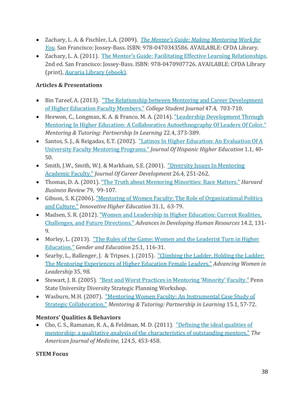- Zachary, L. A. & Fischler, L.A. (2009). *The Mentee's Guide: Making Mentoring Work for You.* San Francisco: Jossey-Bass. ISBN: 978-0470343586. AVAILABLE: CFDA Library.
- Zachary, L. A. (2011). The Mentor's Guide: Facilitating Effective Learning Relationships. 2nd ed. San Francisco: Jossey-Bass. ISBN: 978-0470907726. AVAILABLE: CFDA Library (print), Auraria Library (ebook).

# **Articles & Presentations**

- Bin Tareef, A. (2013). "The Relationship between Mentoring and Career Development of Higher Education Faculty Members." *College Student Journal* 47.4, 703-710.
- Heewon, C., Longman, K. A. & Franco, M. A. (2014). "Leadership Development Through Mentoring In Higher Education: A Collaborative Autoethnography Of Leaders Of Color." *Mentoring & Tutoring: Partnership In Learning* 22.4, 373-389.
- Santos, S. J., & Reigadas, E.T. (2002). "Latinos In Higher Education: An Evaluation Of A University Faculty Mentoring Programs." *Journal Of Hispanic Higher Education* 1.1, 40- 50.
- Smith, J.W., Smith, W.J. & Markham, S.E. (2001). "Diversity Issues In Mentoring Academic Faculty." *Journal Of Career Development* 26.4, 251-262.
- Thomas, D. A. (2001). "The Truth about Mentoring Minorities: Race Matters." *Harvard Business Review* 79, 99-107.
- Gibson, S. K.(2006). "Mentoring of Women Faculty: The Role of Organizational Politics and Culture." *Innovative Higher Education* 31.1, 63-79.
- Madsen, S. R. (2012). "Women and Leadership in Higher Education: Current Realities, Challenges, and Future Directions." *Advances in Developing Human Resources* 14.2, 131-9.
- Morley, L. (2013). "The Rules of the Game: Women and the Leaderist Turn in Higher Education." *Gender and Education* 25.1, 116-31.
- Searby, L., Ballenger, J. & Tripses. J. (2015). "Climbing the Ladder, Holding the Ladder: The Mentoring Experiences of Higher Education Female Leaders." *Advancing Women in* Leadership 35, 98.
- Stewart, J. B. (2005). "Best and Worst Practices in Mentoring 'Minority' Faculty." Penn State University Diversity Strategic Planning Workshop.
- Wasburn, M.H. (2007). "Mentoring Women Faculty: An Instrumental Case Study of Strategic Collaboration." *Mentoring & Tutoring: Partnership in Learning* 15.1, 57-72.

# **Mentors' Qualities & Behaviors**

• Cho, C. S., Ramanan, R. A., & Feldman, M. D. (2011). "Defining the ideal qualities of mentorship: a qualitative analysis of the characteristics of outstanding mentors." The *American Journal of Medicine*, 124.5, 453-458.

#### **STEM Focus**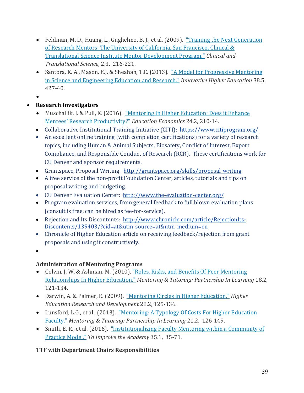- Feldman, M. D., Huang, L., Guglielmo, B. J., et al. (2009). "Training the Next Generation of Research Mentors: The University of California, San Francisco, Clinical  $\&$ Translational Science Institute Mentor Development Program." *Clinical and Translational Science*, 2.3, 216-221.
- Santora, K. A., Mason, E.J. & Sheahan, T.C. (2013). "A Model for Progressive Mentoring in Science and Engineering Education and Research." *Innovative Higher Education* 38.5, 427-40.
- •

# • **Research Investigators**

- Muschallik, J. & Pull, K. (2016). "Mentoring in Higher Education: Does it Enhance Mentees' Research Productivity?" *Education Economics* 24.2, 210-14.
- Collaborative Institutional Training Initiative (CITI): https://www.citiprogram.org/
- An excellent online training (with completion certifications) for a variety of research topics, including Human & Animal Subjects, Biosafety, Conflict of Interest, Export Compliance, and Responsible Conduct of Research (RCR). These certifications work for CU Denver and sponsor requirements.
- Grantspace, Proposal Writing: http://grantspace.org/skills/proposal-writing
- A free service of the non-profit Foundation Center, articles, tutorials and tips on proposal writing and budgeting.
- CU Denver Evaluation Center: http://www.the-evaluation-center.org/
- Program evaluation services, from general feedback to full blown evaluation plans (consult is free, can be hired as fee-for-service).
- Rejection and Its Discontents: http://www.chronicle.com/article/RejectionIts-Discontents/139403/?cid=at&utm\_source=at&utm\_medium=en
- Chronicle of Higher Education article on receiving feedback/rejection from grant proposals and using it constructively.
- •

# **Administration of Mentoring Programs**

- Colvin, J. W. & Ashman, M. (2010). "Roles, Risks, and Benefits Of Peer Mentoring Relationships In Higher Education." *Mentoring & Tutoring: Partnership In Learning* 18.2, 121-134.
- Darwin, A. & Palmer, E. (2009). "Mentoring Circles in Higher Education." *Higher Education Research and Development* 28.2, 125-136.
- Lunsford, L.G., et al., (2013). "Mentoring: A Typology Of Costs For Higher Education Faculty." *Mentoring & Tutoring: Partnership In Learning* 21.2, 126-149.
- Smith, E. R., et al. (2016). "Institutionalizing Faculty Mentoring within a Community of Practice Model." *To Improve the Academy* 35.1, 35-71.

# **TTF with Department Chairs Responsibilities**